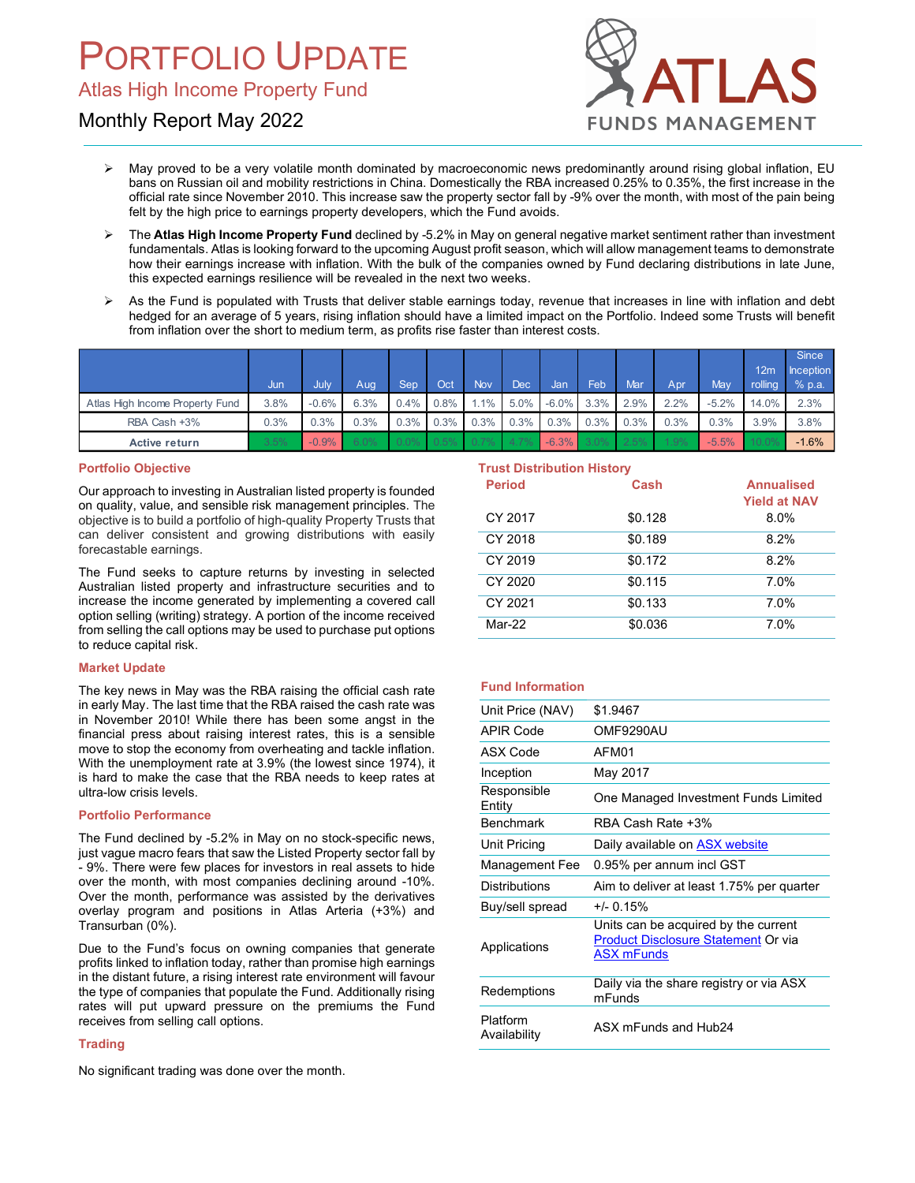# ORTFOLIO UPDATE

# Monthly Report May 2022



- $\triangleright$  May proved to be a very volatile month dominated by macroeconomic news predominantly around rising global inflation, EU bans on Russian oil and mobility restrictions in China. Domestically the RBA increased 0.25% to 0.35%, the first increase in the official rate since November 2010. This increase saw the property sector fall by -9% over the month, with most of the pain being felt by the high price to earnings property developers, which the Fund avoids.
- $\triangleright$  The Atlas High Income Property Fund declined by -5.2% in May on general negative market sentiment rather than investment fundamentals. Atlas is looking forward to the upcoming August profit season, which will allow management teams to demonstrate how their earnings increase with inflation. With the bulk of the companies owned by Fund declaring distributions in late June, this expected earnings resilience will be revealed in the next two weeks.
- $\triangleright$  As the Fund is populated with Trusts that deliver stable earnings today, revenue that increases in line with inflation and debt hedged for an average of 5 years, rising inflation should have a limited impact on the Portfolio. Indeed some Trusts will benefit from inflation over the short to medium term, as profits rise faster than interest costs.

| <b>PORTFOLIO UPDATE</b><br><b>Atlas High Income Property Fund</b>                                                                                                                                                                                                                                                                                                                                                                                                                 |             |                 |             |             |             |                           |                    |                                   |             |                  |             | <b>ATLAS</b>            |                                          |                    |
|-----------------------------------------------------------------------------------------------------------------------------------------------------------------------------------------------------------------------------------------------------------------------------------------------------------------------------------------------------------------------------------------------------------------------------------------------------------------------------------|-------------|-----------------|-------------|-------------|-------------|---------------------------|--------------------|-----------------------------------|-------------|------------------|-------------|-------------------------|------------------------------------------|--------------------|
| Monthly Report May 2022                                                                                                                                                                                                                                                                                                                                                                                                                                                           |             |                 |             |             |             |                           |                    |                                   |             |                  |             | <b>FUNDS MANAGEMENT</b> |                                          |                    |
| May proved to be a very volatile month dominated by macroeconomic news predominantly around rising global inflation, EU<br>bans on Russian oil and mobility restrictions in China. Domestically the RBA increased 0.25% to 0.35%, the first increase in the<br>official rate since November 2010. This increase saw the property sector fall by -9% over the month, with most of the pain being<br>felt by the high price to earnings property developers, which the Fund avoids. |             |                 |             |             |             |                           |                    |                                   |             |                  |             |                         |                                          |                    |
| The Atlas High Income Property Fund declined by -5.2% in May on general negative market sentiment rather than investment<br>fundamentals. Atlas is looking forward to the upcoming August profit season, which will allow management teams to demonstrate<br>how their earnings increase with inflation. With the bulk of the companies owned by Fund declaring distributions in late June,<br>this expected earnings resilience will be revealed in the next two weeks.          |             |                 |             |             |             |                           |                    |                                   |             |                  |             |                         |                                          |                    |
| As the Fund is populated with Trusts that deliver stable earnings today, revenue that increases in line with inflation and debt<br>hedged for an average of 5 years, rising inflation should have a limited impact on the Portfolio. Indeed some Trusts will benefit<br>from inflation over the short to medium term, as profits rise faster than interest costs.                                                                                                                 |             |                 |             |             |             |                           |                    |                                   |             |                  |             |                         |                                          |                    |
|                                                                                                                                                                                                                                                                                                                                                                                                                                                                                   |             |                 |             |             |             |                           |                    |                                   |             |                  |             |                         | 12m                                      | Since<br>Inception |
| Atlas High Income Property Fund                                                                                                                                                                                                                                                                                                                                                                                                                                                   | Jun<br>3.8% | July<br>$-0.6%$ | Aug<br>6.3% | Sep<br>0.4% | Oct<br>0.8% | <b>Nov</b><br>1.1%        | <b>Dec</b><br>5.0% | Jan<br>$-6.0\%$                   | Feb<br>3.3% | Mar<br>2.9%      | Apr<br>2.2% | May<br>$-5.2%$          | rolling<br>14.0%                         | % p.a.<br>2.3%     |
| RBA Cash +3%                                                                                                                                                                                                                                                                                                                                                                                                                                                                      | 0.3%        | 0.3%            | 0.3%        | 0.3%        | 0.3%        | 0.3%                      | 0.3%               | 0.3%                              | 0.3%        | 0.3%             | 0.3%        | 0.3%                    | 3.9%                                     | 3.8%               |
| <b>Active return</b>                                                                                                                                                                                                                                                                                                                                                                                                                                                              | 3.5%        | $-0.9%$         |             |             |             |                           |                    | $-6.3%$                           |             |                  |             | $-5.5%$                 |                                          | $-1.6%$            |
| <b>Portfolio Objective</b><br>Our approach to investing in Australian listed property is founded<br>on quality, value, and sensible risk management principles. The                                                                                                                                                                                                                                                                                                               |             |                 |             |             |             |                           | <b>Period</b>      | <b>Trust Distribution History</b> |             | Cash             |             |                         | <b>Annualised</b><br><b>Yield at NAV</b> |                    |
| objective is to build a portfolio of high-quality Property Trusts that<br>can deliver consistent and growing distributions with easily                                                                                                                                                                                                                                                                                                                                            |             |                 |             |             |             | CY 2017<br>O <sub>N</sub> |                    |                                   |             | \$0.128<br>0.400 |             |                         | 8.0%<br>0.001                            |                    |

# Portfolio Objective

Our approach to investing in Australian listed property is founded on quality, value, and sensible risk management principles. The objective is to build a portfolio of high-quality Property Trusts that can deliver consistent and growing distributions with easily forecastable earnings.

The Fund seeks to capture returns by investing in selected Australian listed property and infrastructure securities and to increase the income generated by implementing a covered call option selling (writing) strategy. A portion of the income received from selling the call options may be used to purchase put options to reduce capital risk.

## Market Update

The key news in May was the RBA raising the official cash rate in early May. The last time that the RBA raised the cash rate was in November 2010! While there has been some angst in the financial press about raising interest rates, this is a sensible move to stop the economy from overheating and tackle inflation. With the unemployment rate at 3.9% (the lowest since 1974), it is hard to make the case that the RBA needs to keep rates at ultra-low crisis levels.

## Portfolio Performance

The Fund declined by -5.2% in May on no stock-specific news, just vague macro fears that saw the Listed Property sector fall by - 9%. There were few places for investors in real assets to hide over the month, with most companies declining around -10%. Over the month, performance was assisted by the derivatives overlay program and positions in Atlas Arteria (+3%) and Transurban (0%).

Due to the Fund's focus on owning companies that generate profits linked to inflation today, rather than promise high earnings in the distant future, a rising interest rate environment will favour the type of companies that populate the Fund. Additionally rising rates will put upward pressure on the premiums the Fund receives from selling call options.

#### **Trading**

No significant trading was done over the month.

# Trust Distribution History

| <b>Period</b> | Cash    | <b>Annualised</b><br><b>Yield at NAV</b> |
|---------------|---------|------------------------------------------|
| CY 2017       | \$0.128 | 8.0%                                     |
| CY 2018       | \$0.189 | 8.2%                                     |
| CY 2019       | \$0.172 | 8.2%                                     |
| CY 2020       | \$0.115 | 7.0%                                     |
| CY 2021       | \$0.133 | 7.0%                                     |
| Mar-22        | \$0.036 | 7.0%                                     |

## Fund Information

| Unit Price (NAV)         | \$1.9467                                                                                                |  |  |  |
|--------------------------|---------------------------------------------------------------------------------------------------------|--|--|--|
| APIR Code                | OMF9290AU                                                                                               |  |  |  |
| ASX Code                 | AFM01                                                                                                   |  |  |  |
| Inception                | May 2017                                                                                                |  |  |  |
| Responsible<br>Entity    | One Managed Investment Funds Limited                                                                    |  |  |  |
| <b>Benchmark</b>         | RBA Cash Rate +3%                                                                                       |  |  |  |
| Unit Pricing             | Daily available on ASX website                                                                          |  |  |  |
| <b>Management Fee</b>    | 0.95% per annum incl GST                                                                                |  |  |  |
| <b>Distributions</b>     | Aim to deliver at least 1.75% per quarter                                                               |  |  |  |
| Buy/sell spread          | $+/- 0.15%$                                                                                             |  |  |  |
| Applications             | Units can be acquired by the current<br><b>Product Disclosure Statement Or via</b><br><b>ASX mFunds</b> |  |  |  |
| Redemptions              | Daily via the share registry or via ASX<br>mFunds                                                       |  |  |  |
| Platform<br>Availability | ASX mFunds and Hub24                                                                                    |  |  |  |